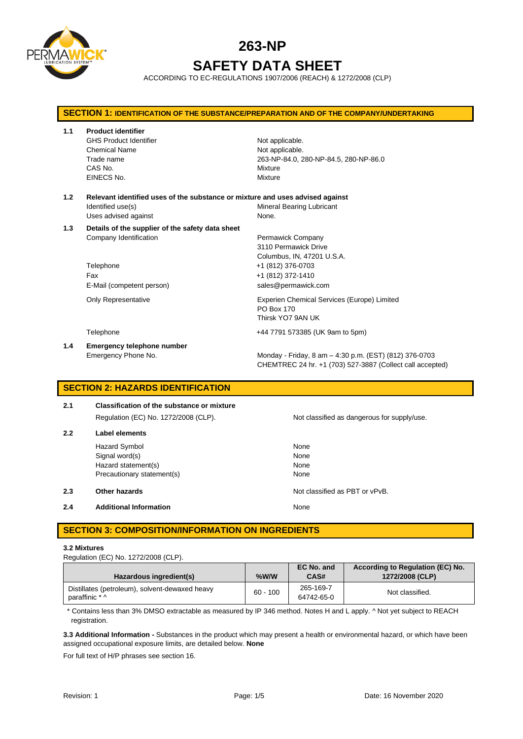

# **263-NP SAFETY DATA SHEET**

ACCORDING TO EC-REGULATIONS 1907/2006 (REACH) & 1272/2008 (CLP)

| <b>SECTION 1: IDENTIFICATION OF THE SUBSTANCE/PREPARATION AND OF THE COMPANY/UNDERTAKING</b> |                                                                                                                            |                                                                                                                     |  |
|----------------------------------------------------------------------------------------------|----------------------------------------------------------------------------------------------------------------------------|---------------------------------------------------------------------------------------------------------------------|--|
| 1.1                                                                                          | <b>Product identifier</b><br><b>GHS Product Identifier</b><br><b>Chemical Name</b><br>Trade name<br>CAS No.<br>EINECS No.  | Not applicable.<br>Not applicable.<br>263-NP-84.0, 280-NP-84.5, 280-NP-86.0<br>Mixture<br>Mixture                   |  |
| 1.2                                                                                          | Relevant identified uses of the substance or mixture and uses advised against<br>Identified use(s)<br>Uses advised against | Mineral Bearing Lubricant<br>None.                                                                                  |  |
| 1.3                                                                                          | Details of the supplier of the safety data sheet<br>Company Identification                                                 | Permawick Company<br>3110 Permawick Drive<br>Columbus, IN, 47201 U.S.A.                                             |  |
|                                                                                              | Telephone<br>Fax<br>E-Mail (competent person)                                                                              | +1 (812) 376-0703<br>+1 (812) 372-1410<br>sales@permawick.com                                                       |  |
|                                                                                              | <b>Only Representative</b>                                                                                                 | Experien Chemical Services (Europe) Limited<br>PO Box 170<br>Thirsk YO7 9AN UK                                      |  |
|                                                                                              | Telephone                                                                                                                  | +44 7791 573385 (UK 9am to 5pm)                                                                                     |  |
| 1.4                                                                                          | <b>Emergency telephone number</b><br>Emergency Phone No.                                                                   | Monday - Friday, 8 am - 4:30 p.m. (EST) (812) 376-0703<br>CHEMTREC 24 hr. +1 (703) 527-3887 (Collect call accepted) |  |

## **SECTION 2: HAZARDS IDENTIFICATION**

## **2.1 Classification of the substance or mixture** Regulation (EC) No. 1272/2008 (CLP). Not classified as dangerous for supply/use. **2.2 Label elements** Hazard Symbol None Signal word(s) None Hazard statement(s) None Precautionary statement(s) None **2.3 Other hazards Details According to the COVID-100 Motion COVID-100 Motion COVID-100 Motion COVID-100 Motion COVID-100 Motion COVID-100 Motion COVID-100 Motion COVID-100 Motion COVID-100 Motion COVID-100 Motion COVI 2.4 Additional Information None** None

## **SECTION 3: COMPOSITION/INFORMATION ON INGREDIENTS**

#### **3.2 Mixtures**

Regulation (EC) No. 1272/2008 (CLP).

| Hazardous ingredient(s)                                          | $%$ W/W    | EC No. and<br><b>CAS#</b> | According to Regulation (EC) No.<br>1272/2008 (CLP) |
|------------------------------------------------------------------|------------|---------------------------|-----------------------------------------------------|
| Distillates (petroleum), solvent-dewaxed heavy<br>paraffinic * ^ | $60 - 100$ | 265-169-7<br>64742-65-0   | Not classified.                                     |

\* Contains less than 3% DMSO extractable as measured by IP 346 method. Notes H and L apply. ^ Not yet subject to REACH registration.

**3.3 Additional Information -** Substances in the product which may present a health or environmental hazard, or which have been assigned occupational exposure limits, are detailed below. **None**

For full text of H/P phrases see section 16.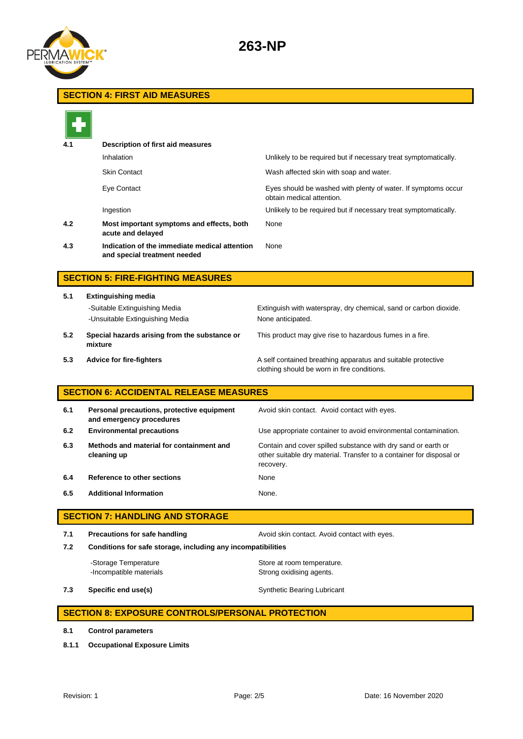

## **SECTION 4: FIRST AID MEASURES**

| 4.1 | Description of first aid measures                                             |                                                                                                                                                    |
|-----|-------------------------------------------------------------------------------|----------------------------------------------------------------------------------------------------------------------------------------------------|
|     | Inhalation                                                                    | Unlikely to be required but if necessary treat symptomatically.                                                                                    |
|     | <b>Skin Contact</b>                                                           | Wash affected skin with soap and water.                                                                                                            |
|     | Eye Contact                                                                   | Eyes should be washed with plenty of water. If symptoms occur<br>obtain medical attention.                                                         |
|     | Ingestion                                                                     | Unlikely to be required but if necessary treat symptomatically.                                                                                    |
| 4.2 | Most important symptoms and effects, both<br>acute and delayed                | None                                                                                                                                               |
| 4.3 | Indication of the immediate medical attention<br>and special treatment needed | None                                                                                                                                               |
|     | <b>SECTION 5: FIRE-FIGHTING MEASURES</b>                                      |                                                                                                                                                    |
| 5.1 | <b>Extinguishing media</b>                                                    |                                                                                                                                                    |
|     | -Suitable Extinguishing Media<br>-Unsuitable Extinguishing Media              | Extinguish with waterspray, dry chemical, sand or carbon dioxide.<br>None anticipated.                                                             |
| 5.2 | Special hazards arising from the substance or<br>mixture                      | This product may give rise to hazardous fumes in a fire.                                                                                           |
| 5.3 | <b>Advice for fire-fighters</b>                                               | A self contained breathing apparatus and suitable protective<br>clothing should be worn in fire conditions.                                        |
|     | <b>SECTION 6: ACCIDENTAL RELEASE MEASURES</b>                                 |                                                                                                                                                    |
| 6.1 | Personal precautions, protective equipment<br>and emergency procedures        | Avoid skin contact. Avoid contact with eyes.                                                                                                       |
| 6.2 | <b>Environmental precautions</b>                                              | Use appropriate container to avoid environmental contamination.                                                                                    |
| 6.3 | Methods and material for containment and<br>cleaning up                       | Contain and cover spilled substance with dry sand or earth or<br>other suitable dry material. Transfer to a container for disposal or<br>recovery. |
| 6.4 | Reference to other sections                                                   | None                                                                                                                                               |
| 6.5 | <b>Additional Information</b>                                                 | None.                                                                                                                                              |
|     | <b>SECTION 7: HANDLING AND STORAGE</b>                                        |                                                                                                                                                    |
| 7.1 | <b>Precautions for safe handling</b>                                          | Avoid skin contact. Avoid contact with eyes.                                                                                                       |
| 7.2 | Conditions for safe storage, including any incompatibilities                  |                                                                                                                                                    |
|     | -Storage Temperature<br>-Incompatible materials                               | Store at room temperature.<br>Strong oxidising agents.                                                                                             |
| 7.3 | Specific end use(s)                                                           | <b>Synthetic Bearing Lubricant</b>                                                                                                                 |
|     | <b>SECTION 8: EXPOSURE CONTROLS/PERSONAL PROTECTION</b>                       |                                                                                                                                                    |

- **8.1 Control parameters**
- **8.1.1 Occupational Exposure Limits**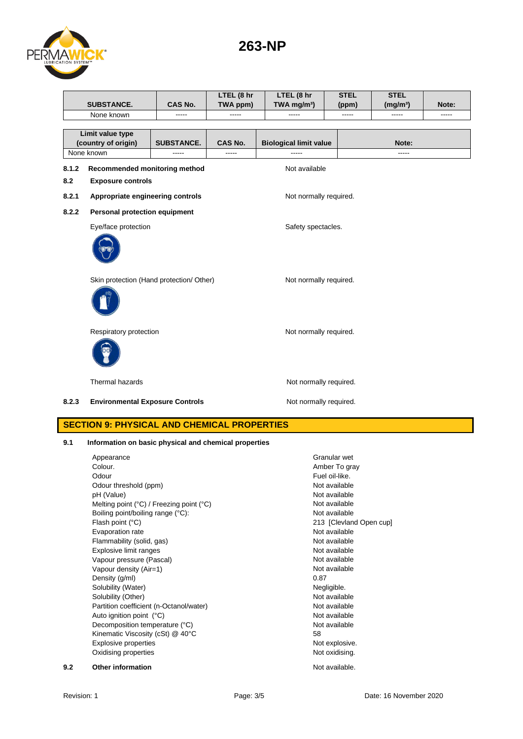## **263-NP**



|                                         |                                                           |                   | LTEL (8 hr | LTEL (8 hr                    | <b>STEL</b> | <b>STEL</b>          |       |
|-----------------------------------------|-----------------------------------------------------------|-------------------|------------|-------------------------------|-------------|----------------------|-------|
|                                         | <b>SUBSTANCE.</b>                                         | <b>CAS No.</b>    | TWA ppm)   | TWA mg/m <sup>3</sup> )       | (ppm)       | (mg/m <sup>3</sup> ) | Note: |
|                                         | None known                                                |                   |            |                               | -----       | -----                | ----- |
| Limit value type<br>(country of origin) |                                                           | <b>SUBSTANCE.</b> | CAS No.    | <b>Biological limit value</b> |             | Note:                |       |
|                                         | None known                                                | -----             | -----      |                               |             | $\frac{1}{2}$        |       |
| 8.1.2<br>8.2                            | Recommended monitoring method<br><b>Exposure controls</b> |                   |            | Not available                 |             |                      |       |
| 8.2.1                                   | Appropriate engineering controls                          |                   |            | Not normally required.        |             |                      |       |
| 8.2.2                                   | Personal protection equipment                             |                   |            |                               |             |                      |       |
|                                         | Eye/face protection                                       |                   |            | Safety spectacles.            |             |                      |       |
|                                         |                                                           |                   |            |                               |             |                      |       |
|                                         |                                                           |                   |            | Not normally required.        |             |                      |       |
|                                         | Skin protection (Hand protection/ Other)                  |                   |            |                               |             |                      |       |
|                                         | Respiratory protection                                    |                   |            | Not normally required.        |             |                      |       |
|                                         |                                                           |                   |            |                               |             |                      |       |
|                                         | Thermal hazards                                           |                   |            | Not normally required.        |             |                      |       |
| 8.2.3                                   | <b>Environmental Exposure Controls</b>                    |                   |            | Not normally required.        |             |                      |       |

## **SECTION 9: PHYSICAL AND CHEMICAL PROPERTIES**

## **9.1 Information on basic physical and chemical properties**

|     | Appearance                               | Granular wet            |
|-----|------------------------------------------|-------------------------|
|     | Colour.                                  | Amber To gray           |
|     | Odour                                    | Fuel oil-like.          |
|     | Odour threshold (ppm)                    | Not available           |
|     | pH (Value)                               | Not available           |
|     | Melting point (°C) / Freezing point (°C) | Not available           |
|     | Boiling point/boiling range (°C):        | Not available           |
|     | Flash point (°C)                         | 213 [Clevland Open cup] |
|     | Evaporation rate                         | Not available           |
|     | Flammability (solid, gas)                | Not available           |
|     | Explosive limit ranges                   | Not available           |
|     | Vapour pressure (Pascal)                 | Not available           |
|     | Vapour density (Air=1)                   | Not available           |
|     | Density (g/ml)                           | 0.87                    |
|     | Solubility (Water)                       | Negligible.             |
|     | Solubility (Other)                       | Not available           |
|     | Partition coefficient (n-Octanol/water)  | Not available           |
|     | Auto ignition point (°C)                 | Not available           |
|     | Decomposition temperature (°C)           | Not available           |
|     | Kinematic Viscosity (cSt) @ 40°C         | 58                      |
|     | <b>Explosive properties</b>              | Not explosive.          |
|     | Oxidising properties                     | Not oxidising.          |
| 9.2 | <b>Other information</b>                 | Not available.          |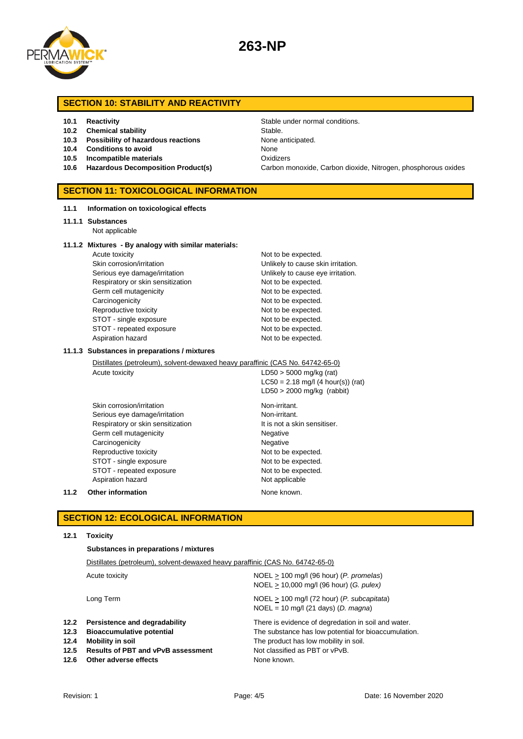

### **SECTION 10: STABILITY AND REACTIVITY**

- **10.1 Reactivity Constraining Stable under normal conditions.**
- **10.2 Chemical stability** Stable.
- **10.3 Possibility of hazardous reactions** None anticipated.
- **10.4 Conditions to avoid** None
- **10.5 Incompatible materials** Oxidizers
- 

**10.6 Hazardous Decomposition Product(s)** Carbon monoxide, Carbon dioxide, Nitrogen, phosphorous oxides

### **SECTION 11: TOXICOLOGICAL INFORMATION**

**11.1 Information on toxicological effects**

#### **11.1.1 Substances**

Not applicable

#### **11.1.2 Mixtures - By analogy with similar materials:**

- Acute toxicity **Not to be expected.** Skin corrosion/irritation **Unlikely to cause skin irritation**. Serious eye damage/irritation **Exercise 2018** Unlikely to cause eye irritation. Respiratory or skin sensitization Not to be expected. Germ cell mutagenicity expected. Carcinogenicity **Not to be expected.** Reproductive toxicity Not to be expected. STOT - single exposure Not to be expected. STOT - repeated exposure Not to be expected. Aspiration hazard Not to be expected.
	-

Non-irritant

Negative Negative

It is not a skin sensitiser.

Not to be expected. Not to be expected. Not to be expected. Not applicable

#### **11.1.3 Substances in preparations / mixtures**

Distillates (petroleum), solvent-dewaxed heavy paraffinic (CAS No. 64742-65-0)

| Acute toxicity            | $LD50 > 5000$ mg/kg (rat)<br>$LC50 = 2.18$ mg/l (4 hour(s)) (rat) |
|---------------------------|-------------------------------------------------------------------|
|                           | $LD50 > 2000$ mg/kg (rabbit)                                      |
| Skin corrosion/irritation | Non-irritant.                                                     |

#### **11.2 Other information None known.** None known.

#### **SECTION 12: ECOLOGICAL INFORMATION**

#### **12.1 Toxicity**

#### **Substances in preparations / mixtures**

|                                      | Distillates (petroleum), solvent-dewaxed heavy paraffinic (CAS No. 64742-65-0)                                                                                     |                                                                                                                                                                                                       |  |  |  |
|--------------------------------------|--------------------------------------------------------------------------------------------------------------------------------------------------------------------|-------------------------------------------------------------------------------------------------------------------------------------------------------------------------------------------------------|--|--|--|
|                                      | Acute toxicity                                                                                                                                                     | $NOEL > 100$ mg/l (96 hour) (P. promelas)<br>NOEL > 10,000 mg/l (96 hour) (G. pulex)                                                                                                                  |  |  |  |
|                                      | Long Term                                                                                                                                                          | $NOEL > 100$ mg/l (72 hour) (P. subcapitata)<br>$NOEL = 10$ mg/l (21 days) (D. magna)                                                                                                                 |  |  |  |
| 12.2<br>12.3<br>12.4<br>12.5<br>12.6 | Persistence and degradability<br><b>Bioaccumulative potential</b><br><b>Mobility in soil</b><br><b>Results of PBT and vPvB assessment</b><br>Other adverse effects | There is evidence of degredation in soil and water.<br>The substance has low potential for bioaccumulation.<br>The product has low mobility in soil.<br>Not classified as PBT or vPvB.<br>None known. |  |  |  |